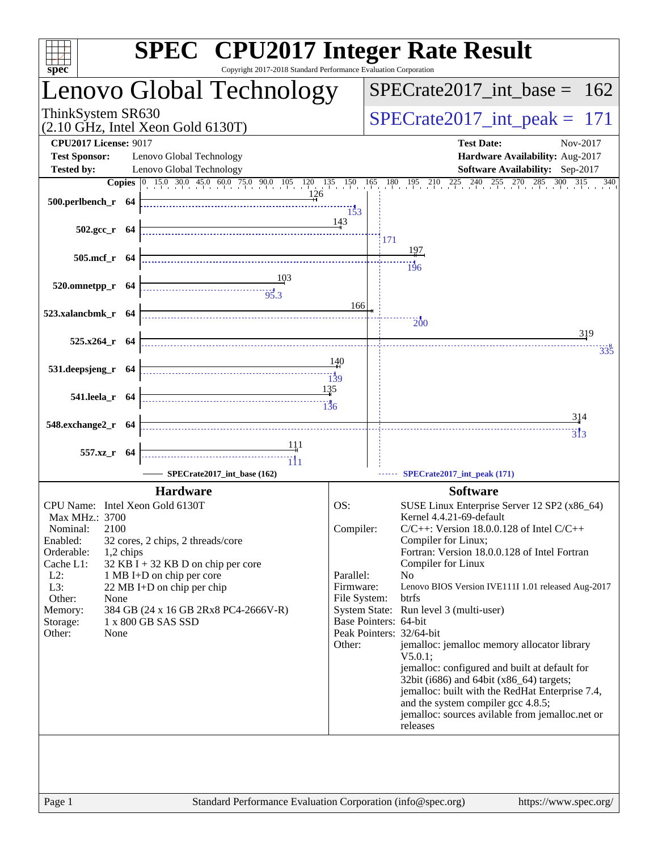| $spec^*$                                                                         | <b>SPEC<sup>®</sup></b> CPU2017 Integer Rate Result<br>Copyright 2017-2018 Standard Performance Evaluation Corporation                                                                                                                    |                        |                                                                                                               |
|----------------------------------------------------------------------------------|-------------------------------------------------------------------------------------------------------------------------------------------------------------------------------------------------------------------------------------------|------------------------|---------------------------------------------------------------------------------------------------------------|
|                                                                                  | Lenovo Global Technology                                                                                                                                                                                                                  |                        | $SPECrate2017\_int\_base = 162$                                                                               |
| ThinkSystem SR630<br>$(2.10 \text{ GHz}, \text{Intel Xeon Gold } 6130 \text{T})$ |                                                                                                                                                                                                                                           |                        | $SPECrate2017\_int\_peak = 171$                                                                               |
| <b>CPU2017 License: 9017</b>                                                     |                                                                                                                                                                                                                                           |                        | <b>Test Date:</b><br>Nov-2017                                                                                 |
| <b>Test Sponsor:</b>                                                             | Lenovo Global Technology                                                                                                                                                                                                                  |                        | Hardware Availability: Aug-2017                                                                               |
| <b>Tested by:</b>                                                                | Lenovo Global Technology                                                                                                                                                                                                                  |                        | Software Availability: Sep-2017                                                                               |
| $500.$ perlbench_r 64                                                            | $\frac{126}{2}$                                                                                                                                                                                                                           | 153                    | <b>Copies</b> 0 15.0 30.0 45.0 60.0 75.0 90.0 105 120 135 150 165 180 195 210 225 240 255 270 285 300 315 340 |
|                                                                                  | 502.gcc_r 64 $\frac{14}{11}$                                                                                                                                                                                                              | 143                    | 171                                                                                                           |
| $505.\text{mcf}_r$ 64                                                            |                                                                                                                                                                                                                                           |                        | 197                                                                                                           |
|                                                                                  |                                                                                                                                                                                                                                           |                        | $\dddot{196}$                                                                                                 |
| $520.0$ mnetpp_r 64                                                              | $\frac{103}{95.3}$                                                                                                                                                                                                                        |                        |                                                                                                               |
|                                                                                  |                                                                                                                                                                                                                                           |                        |                                                                                                               |
| 523.xalancbmk_r $64$                                                             |                                                                                                                                                                                                                                           | 166                    |                                                                                                               |
| $525.x264$ r 64                                                                  |                                                                                                                                                                                                                                           |                        | $\overline{200}$<br>319                                                                                       |
|                                                                                  |                                                                                                                                                                                                                                           |                        | 335                                                                                                           |
| 531.deepsjeng_r 64                                                               | <u>ay</u><br>139 - Alexander House, actor and the contract of the contract of the contract of the contract of the contract o<br>139 - Talent Street, actor and the contract of the contract of the contract of the contract of the contra | 140                    |                                                                                                               |
| 541.leela_r 64                                                                   | 135                                                                                                                                                                                                                                       |                        |                                                                                                               |
| 548.exchange2_r 64                                                               |                                                                                                                                                                                                                                           |                        | <u>314</u>                                                                                                    |
|                                                                                  |                                                                                                                                                                                                                                           |                        | $\frac{1}{313}$                                                                                               |
| 557.xz_r 64                                                                      |                                                                                                                                                                                                                                           |                        |                                                                                                               |
|                                                                                  | SPECrate2017_int_base (162)                                                                                                                                                                                                               |                        | SPECrate2017_int_peak (171)                                                                                   |
|                                                                                  | <b>Hardware</b>                                                                                                                                                                                                                           |                        | <b>Software</b>                                                                                               |
| CPU Name: Intel Xeon Gold 6130T                                                  |                                                                                                                                                                                                                                           | OS:                    | SUSE Linux Enterprise Server 12 SP2 (x86_64)                                                                  |
| Max MHz.: 3700<br>2100<br>Nominal:                                               |                                                                                                                                                                                                                                           | Compiler:              | Kernel 4.4.21-69-default<br>$C/C++$ : Version 18.0.0.128 of Intel $C/C++$                                     |
| Enabled:                                                                         | 32 cores, 2 chips, 2 threads/core                                                                                                                                                                                                         |                        | Compiler for Linux;                                                                                           |
| Orderable:<br>1,2 chips                                                          |                                                                                                                                                                                                                                           |                        | Fortran: Version 18.0.0.128 of Intel Fortran                                                                  |
| Cache L1:                                                                        | $32$ KB I + 32 KB D on chip per core                                                                                                                                                                                                      |                        | Compiler for Linux                                                                                            |
| $L2$ :<br>1 MB I+D on chip per core<br>L3:<br>22 MB I+D on chip per chip         |                                                                                                                                                                                                                                           | Parallel:<br>Firmware: | N <sub>o</sub><br>Lenovo BIOS Version IVE111I 1.01 released Aug-2017                                          |
| Other:<br>None                                                                   |                                                                                                                                                                                                                                           | File System:           | btrfs                                                                                                         |
| Memory:                                                                          | 384 GB (24 x 16 GB 2Rx8 PC4-2666V-R)                                                                                                                                                                                                      |                        | System State: Run level 3 (multi-user)                                                                        |
| 1 x 800 GB SAS SSD<br>Storage:                                                   |                                                                                                                                                                                                                                           |                        | Base Pointers: 64-bit<br>Peak Pointers: 32/64-bit                                                             |
| Other:<br>None                                                                   |                                                                                                                                                                                                                                           | Other:                 | jemalloc: jemalloc memory allocator library                                                                   |
|                                                                                  |                                                                                                                                                                                                                                           |                        | $V5.0.1$ :<br>jemalloc: configured and built at default for                                                   |
|                                                                                  |                                                                                                                                                                                                                                           |                        | 32bit (i686) and 64bit (x86_64) targets;                                                                      |
|                                                                                  |                                                                                                                                                                                                                                           |                        | jemalloc: built with the RedHat Enterprise 7.4,                                                               |
|                                                                                  |                                                                                                                                                                                                                                           |                        | and the system compiler gcc 4.8.5;<br>jemalloc: sources avilable from jemalloc.net or                         |
|                                                                                  |                                                                                                                                                                                                                                           |                        | releases                                                                                                      |
|                                                                                  |                                                                                                                                                                                                                                           |                        |                                                                                                               |
|                                                                                  |                                                                                                                                                                                                                                           |                        |                                                                                                               |
|                                                                                  |                                                                                                                                                                                                                                           |                        |                                                                                                               |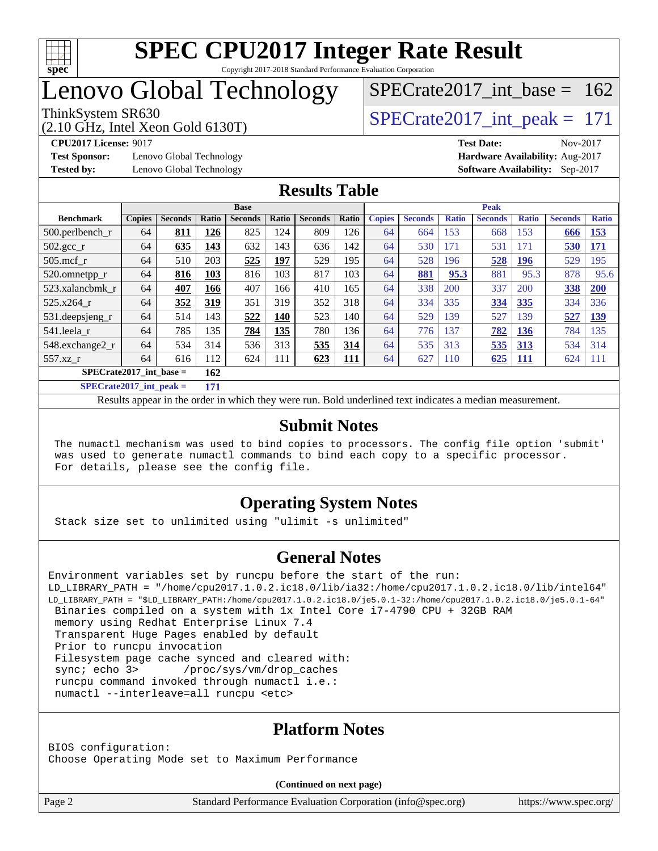

## Lenovo Global Technology

(2.10 GHz, Intel Xeon Gold 6130T)

ThinkSystem SR630<br>  $(2.10 \text{ GHz. Intel Yoon Gold } 6130 \text{T})$   $\text{SPECrate} 2017\_int\_peak = 171$ 

[SPECrate2017\\_int\\_base =](http://www.spec.org/auto/cpu2017/Docs/result-fields.html#SPECrate2017intbase) 162

**[Test Sponsor:](http://www.spec.org/auto/cpu2017/Docs/result-fields.html#TestSponsor)** Lenovo Global Technology **[Hardware Availability:](http://www.spec.org/auto/cpu2017/Docs/result-fields.html#HardwareAvailability)** Aug-2017

**[CPU2017 License:](http://www.spec.org/auto/cpu2017/Docs/result-fields.html#CPU2017License)** 9017 **[Test Date:](http://www.spec.org/auto/cpu2017/Docs/result-fields.html#TestDate)** Nov-2017 **[Tested by:](http://www.spec.org/auto/cpu2017/Docs/result-fields.html#Testedby)** Lenovo Global Technology **[Software Availability:](http://www.spec.org/auto/cpu2017/Docs/result-fields.html#SoftwareAvailability)** Sep-2017

#### **[Results Table](http://www.spec.org/auto/cpu2017/Docs/result-fields.html#ResultsTable)**

| <b>Base</b>                      |               |                |       |                |            |                | <b>Peak</b> |               |                |              |                |              |                |              |
|----------------------------------|---------------|----------------|-------|----------------|------------|----------------|-------------|---------------|----------------|--------------|----------------|--------------|----------------|--------------|
| <b>Benchmark</b>                 | <b>Copies</b> | <b>Seconds</b> | Ratio | <b>Seconds</b> | Ratio      | <b>Seconds</b> | Ratio       | <b>Copies</b> | <b>Seconds</b> | <b>Ratio</b> | <b>Seconds</b> | <b>Ratio</b> | <b>Seconds</b> | <b>Ratio</b> |
| $500.$ perlbench_r               | 64            | 811            | 126   | 825            | 124        | 809            | 126         | 64            | 664            | 153          | 668            | 153          | 666            | 153          |
| 502.gcc_r                        | 64            | 635            | 143   | 632            | 143        | 636            | 142         | 64            | 530            | 171          | 531            | 171          | 530            | <b>171</b>   |
| $505$ .mcf r                     | 64            | 510            | 203   | 525            | 197        | 529            | 195         | 64            | 528            | 196          | 528            | 196          | 529            | 195          |
| 520.omnetpp_r                    | 64            | 816            | 103   | 816            | 103        | 817            | 103         | 64            | 881            | 95.3         | 881            | 95.3         | 878            | 95.6         |
| 523.xalancbmk r                  | 64            | 407            | 166   | 407            | 166        | 410            | 165         | 64            | 338            | 200          | 337            | 200          | 338            | 200          |
| 525.x264 r                       | 64            | 352            | 319   | 351            | 319        | 352            | 318         | 64            | 334            | 335          | 334            | 335          | 334            | 336          |
| 531.deepsjeng_r                  | 64            | 514            | 143   | 522            | 140        | 523            | 140         | 64            | 529            | 139          | 527            | 139          | 527            | <u>139</u>   |
| 541.leela r                      | 64            | 785            | 135   | 784            | <u>135</u> | 780            | 136         | 64            | 776            | 137          | 782            | <b>136</b>   | 784            | 135          |
| 548.exchange2_r                  | 64            | 534            | 314   | 536            | 313        | 535            | 314         | 64            | 535            | 313          | 535            | 313          | 534            | 314          |
| 557.xz r                         | 64            | 616            | 112   | 624            | 111        | 623            | <u>111</u>  | 64            | 627            | 110          | 625            | <u> 111</u>  | 624            | 111          |
| $SPECrate2017$ int base =<br>162 |               |                |       |                |            |                |             |               |                |              |                |              |                |              |
| $CDPCA2 + 2017$ intervals        |               | 1.711          |       |                |            |                |             |               |                |              |                |              |                |              |

**[SPECrate2017\\_int\\_peak =](http://www.spec.org/auto/cpu2017/Docs/result-fields.html#SPECrate2017intpeak)** 

Results appear in the [order in which they were run.](http://www.spec.org/auto/cpu2017/Docs/result-fields.html#RunOrder) Bold underlined text [indicates a median measurement.](http://www.spec.org/auto/cpu2017/Docs/result-fields.html#Median)

#### **[Submit Notes](http://www.spec.org/auto/cpu2017/Docs/result-fields.html#SubmitNotes)**

 The numactl mechanism was used to bind copies to processors. The config file option 'submit' was used to generate numactl commands to bind each copy to a specific processor. For details, please see the config file.

### **[Operating System Notes](http://www.spec.org/auto/cpu2017/Docs/result-fields.html#OperatingSystemNotes)**

Stack size set to unlimited using "ulimit -s unlimited"

#### **[General Notes](http://www.spec.org/auto/cpu2017/Docs/result-fields.html#GeneralNotes)**

```
Environment variables set by runcpu before the start of the run:
LD_LIBRARY_PATH = "/home/cpu2017.1.0.2.ic18.0/lib/ia32:/home/cpu2017.1.0.2.ic18.0/lib/intel64"
LD_LIBRARY_PATH = "$LD_LIBRARY_PATH:/home/cpu2017.1.0.2.ic18.0/je5.0.1-32:/home/cpu2017.1.0.2.ic18.0/je5.0.1-64"
  Binaries compiled on a system with 1x Intel Core i7-4790 CPU + 32GB RAM
  memory using Redhat Enterprise Linux 7.4
  Transparent Huge Pages enabled by default
  Prior to runcpu invocation
  Filesystem page cache synced and cleared with:
 sync; echo 3> /proc/sys/vm/drop_caches
  runcpu command invoked through numactl i.e.:
  numactl --interleave=all runcpu <etc>
```
### **[Platform Notes](http://www.spec.org/auto/cpu2017/Docs/result-fields.html#PlatformNotes)**

BIOS configuration: Choose Operating Mode set to Maximum Performance

**(Continued on next page)**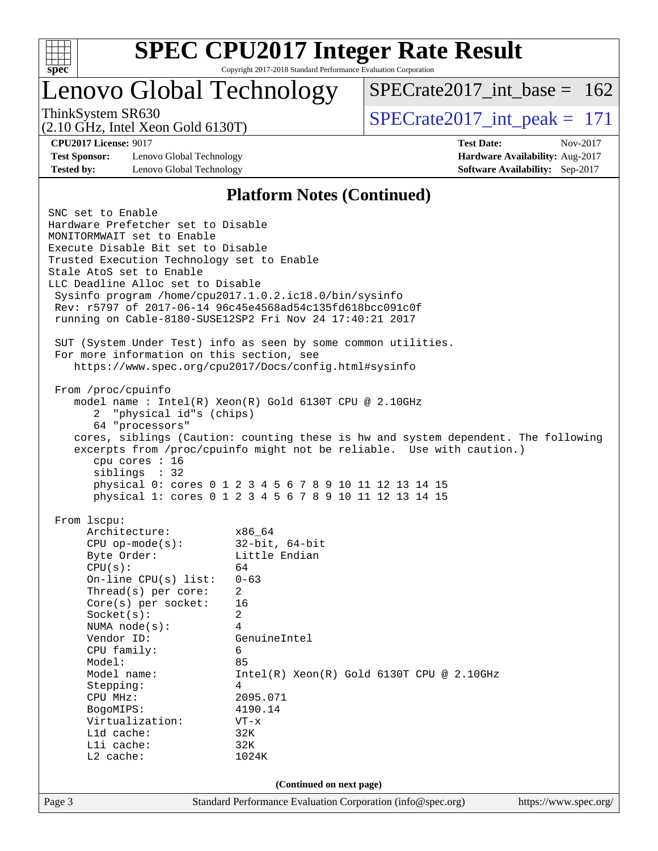

# **[SPEC CPU2017 Integer Rate Result](http://www.spec.org/auto/cpu2017/Docs/result-fields.html#SPECCPU2017IntegerRateResult)**

Copyright 2017-2018 Standard Performance Evaluation Corporation

### Lenovo Global Technology

 $SPECrate2017\_int\_base = 162$ 

(2.10 GHz, Intel Xeon Gold 6130T)

ThinkSystem SR630<br>  $\angle Q$  10 GHz, Intel Year Gold 6130T)

**[Test Sponsor:](http://www.spec.org/auto/cpu2017/Docs/result-fields.html#TestSponsor)** Lenovo Global Technology **[Hardware Availability:](http://www.spec.org/auto/cpu2017/Docs/result-fields.html#HardwareAvailability)** Aug-2017 **[Tested by:](http://www.spec.org/auto/cpu2017/Docs/result-fields.html#Testedby)** Lenovo Global Technology **[Software Availability:](http://www.spec.org/auto/cpu2017/Docs/result-fields.html#SoftwareAvailability)** Sep-2017

**[CPU2017 License:](http://www.spec.org/auto/cpu2017/Docs/result-fields.html#CPU2017License)** 9017 **[Test Date:](http://www.spec.org/auto/cpu2017/Docs/result-fields.html#TestDate)** Nov-2017

#### **[Platform Notes \(Continued\)](http://www.spec.org/auto/cpu2017/Docs/result-fields.html#PlatformNotes)**

Page 3 Standard Performance Evaluation Corporation [\(info@spec.org\)](mailto:info@spec.org) <https://www.spec.org/> SNC set to Enable Hardware Prefetcher set to Disable MONITORMWAIT set to Enable Execute Disable Bit set to Disable Trusted Execution Technology set to Enable Stale AtoS set to Enable LLC Deadline Alloc set to Disable Sysinfo program /home/cpu2017.1.0.2.ic18.0/bin/sysinfo Rev: r5797 of 2017-06-14 96c45e4568ad54c135fd618bcc091c0f running on Cable-8180-SUSE12SP2 Fri Nov 24 17:40:21 2017 SUT (System Under Test) info as seen by some common utilities. For more information on this section, see <https://www.spec.org/cpu2017/Docs/config.html#sysinfo> From /proc/cpuinfo model name : Intel(R) Xeon(R) Gold 6130T CPU @ 2.10GHz 2 "physical id"s (chips) 64 "processors" cores, siblings (Caution: counting these is hw and system dependent. The following excerpts from /proc/cpuinfo might not be reliable. Use with caution.) cpu cores : 16 siblings : 32 physical 0: cores 0 1 2 3 4 5 6 7 8 9 10 11 12 13 14 15 physical 1: cores 0 1 2 3 4 5 6 7 8 9 10 11 12 13 14 15 From lscpu: Architecture: x86\_64 CPU op-mode(s): 32-bit, 64-bit Byte Order: Little Endian  $CPU(s):$  64 On-line CPU(s) list: 0-63 Thread(s) per core: 2 Core(s) per socket: 16 Socket(s): 2 NUMA node(s): 4 Vendor ID: GenuineIntel CPU family: 6 Model: 85 Model name:  $Intel(R)$  Xeon(R) Gold 6130T CPU @ 2.10GHz Stepping: 4 CPU MHz: 2095.071 BogoMIPS: 4190.14 Virtualization: VT-x L1d cache: 32K L1i cache: 32K L2 cache: 1024K **(Continued on next page)**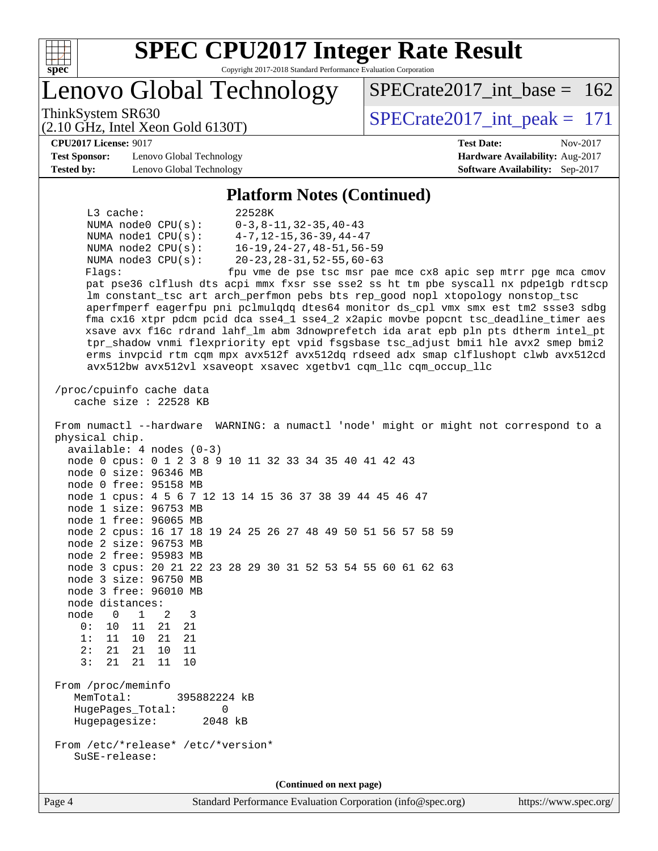

Lenovo Global Technology

ThinkSystem SR630<br>  $(2.10 \text{ GHz. Intel Yoon Gold } 6130 \text{T})$   $\text{SPECrate} 2017\_int\_peak = 171$ 

 $SPECrate2017\_int\_base = 162$ 

#### **[CPU2017 License:](http://www.spec.org/auto/cpu2017/Docs/result-fields.html#CPU2017License)** 9017 **[Test Date:](http://www.spec.org/auto/cpu2017/Docs/result-fields.html#TestDate)** Nov-2017

**[Test Sponsor:](http://www.spec.org/auto/cpu2017/Docs/result-fields.html#TestSponsor)** Lenovo Global Technology **[Hardware Availability:](http://www.spec.org/auto/cpu2017/Docs/result-fields.html#HardwareAvailability)** Aug-2017 **[Tested by:](http://www.spec.org/auto/cpu2017/Docs/result-fields.html#Testedby)** Lenovo Global Technology **[Software Availability:](http://www.spec.org/auto/cpu2017/Docs/result-fields.html#SoftwareAvailability)** Sep-2017

(2.10 GHz, Intel Xeon Gold 6130T)

#### **[Platform Notes \(Continued\)](http://www.spec.org/auto/cpu2017/Docs/result-fields.html#PlatformNotes)**

| $L3$ cache:            | 22528K                                                        |
|------------------------|---------------------------------------------------------------|
| NUMA $node0$ $CPU(s):$ | $0-3.8-11.32-35.40-43$                                        |
| NUMA nodel CPU(s):     | $4 - 7$ , 12 – 15, 36 – 39, 44 – 47                           |
| NUMA $node2$ $CPU(s):$ | 16-19, 24-27, 48-51, 56-59                                    |
| NUMA $node3$ $CPU(s):$ | 20-23, 28-31, 52-55, 60-63                                    |
| Flags:                 | fpu vme de pse tsc msr pae mce cx8 apic sep mtrr pge mca cmov |
|                        |                                                               |

 pat pse36 clflush dts acpi mmx fxsr sse sse2 ss ht tm pbe syscall nx pdpe1gb rdtscp lm constant\_tsc art arch\_perfmon pebs bts rep\_good nopl xtopology nonstop\_tsc aperfmperf eagerfpu pni pclmulqdq dtes64 monitor ds\_cpl vmx smx est tm2 ssse3 sdbg fma cx16 xtpr pdcm pcid dca sse4\_1 sse4\_2 x2apic movbe popcnt tsc\_deadline\_timer aes xsave avx f16c rdrand lahf\_lm abm 3dnowprefetch ida arat epb pln pts dtherm intel\_pt tpr\_shadow vnmi flexpriority ept vpid fsgsbase tsc\_adjust bmi1 hle avx2 smep bmi2 erms invpcid rtm cqm mpx avx512f avx512dq rdseed adx smap clflushopt clwb avx512cd avx512bw avx512vl xsaveopt xsavec xgetbv1 cqm\_llc cqm\_occup\_llc

 /proc/cpuinfo cache data cache size : 22528 KB

 From numactl --hardware WARNING: a numactl 'node' might or might not correspond to a physical chip. available: 4 nodes (0-3) node 0 cpus: 0 1 2 3 8 9 10 11 32 33 34 35 40 41 42 43 node 0 size: 96346 MB node 0 free: 95158 MB node 1 cpus: 4 5 6 7 12 13 14 15 36 37 38 39 44 45 46 47 node 1 size: 96753 MB node 1 free: 96065 MB node 2 cpus: 16 17 18 19 24 25 26 27 48 49 50 51 56 57 58 59 node 2 size: 96753 MB node 2 free: 95983 MB node 3 cpus: 20 21 22 23 28 29 30 31 52 53 54 55 60 61 62 63 node 3 size: 96750 MB node 3 free: 96010 MB node distances: node 0 1 2 3 0: 10 11 21 21 1: 11 10 21 21 2: 21 21 10 11 3: 21 21 11 10 From /proc/meminfo MemTotal: 395882224 kB HugePages\_Total: 0 Hugepagesize: 2048 kB From /etc/\*release\* /etc/\*version\* SuSE-release: **(Continued on next page)**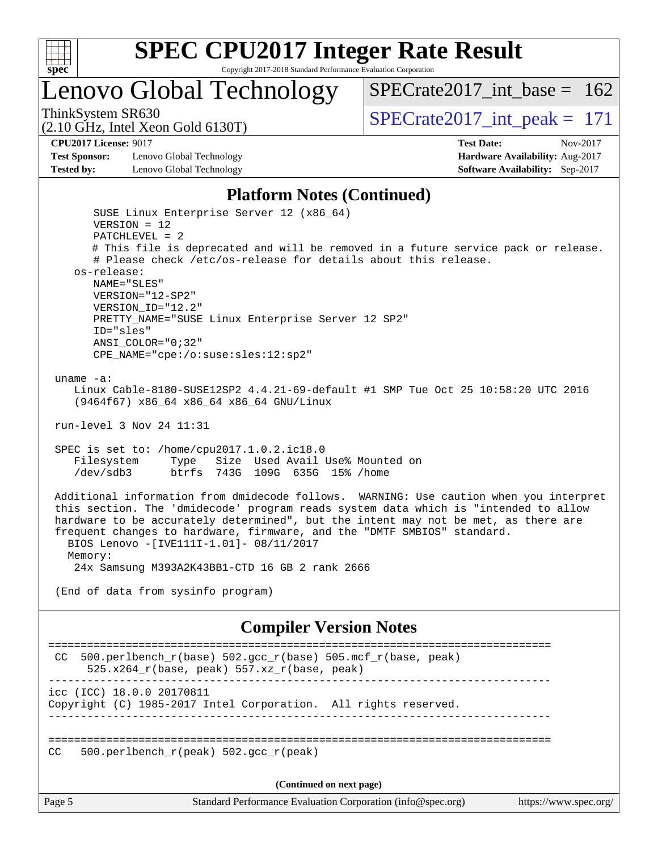

Lenovo Global Technology

ThinkSystem SR630  $SPECrate2017\_int\_peak = 171$ 

[SPECrate2017\\_int\\_base =](http://www.spec.org/auto/cpu2017/Docs/result-fields.html#SPECrate2017intbase) 162

(2.10 GHz, Intel Xeon Gold 6130T)

**[CPU2017 License:](http://www.spec.org/auto/cpu2017/Docs/result-fields.html#CPU2017License)** 9017 **[Test Date:](http://www.spec.org/auto/cpu2017/Docs/result-fields.html#TestDate)** Nov-2017

**[Test Sponsor:](http://www.spec.org/auto/cpu2017/Docs/result-fields.html#TestSponsor)** Lenovo Global Technology **[Hardware Availability:](http://www.spec.org/auto/cpu2017/Docs/result-fields.html#HardwareAvailability)** Aug-2017 **[Tested by:](http://www.spec.org/auto/cpu2017/Docs/result-fields.html#Testedby)** Lenovo Global Technology **[Software Availability:](http://www.spec.org/auto/cpu2017/Docs/result-fields.html#SoftwareAvailability)** Sep-2017

#### **[Platform Notes \(Continued\)](http://www.spec.org/auto/cpu2017/Docs/result-fields.html#PlatformNotes)**

 SUSE Linux Enterprise Server 12 (x86\_64) VERSION = 12 PATCHLEVEL = 2 # This file is deprecated and will be removed in a future service pack or release. # Please check /etc/os-release for details about this release. os-release: NAME="SLES" VERSION="12-SP2" VERSION\_ID="12.2" PRETTY\_NAME="SUSE Linux Enterprise Server 12 SP2" ID="sles" ANSI\_COLOR="0;32" CPE\_NAME="cpe:/o:suse:sles:12:sp2" uname -a: Linux Cable-8180-SUSE12SP2 4.4.21-69-default #1 SMP Tue Oct 25 10:58:20 UTC 2016 (9464f67) x86\_64 x86\_64 x86\_64 GNU/Linux run-level 3 Nov 24 11:31 SPEC is set to: /home/cpu2017.1.0.2.ic18.0 Filesystem Type Size Used Avail Use% Mounted on /dev/sdb3 btrfs 743G 109G 635G 15% /home Additional information from dmidecode follows. WARNING: Use caution when you interpret this section. The 'dmidecode' program reads system data which is "intended to allow hardware to be accurately determined", but the intent may not be met, as there are frequent changes to hardware, firmware, and the "DMTF SMBIOS" standard. BIOS Lenovo -[IVE111I-1.01]- 08/11/2017 Memory: 24x Samsung M393A2K43BB1-CTD 16 GB 2 rank 2666 (End of data from sysinfo program) **[Compiler Version Notes](http://www.spec.org/auto/cpu2017/Docs/result-fields.html#CompilerVersionNotes)** ============================================================================== CC 500.perlbench\_r(base)  $502.\text{gcc_r}$ (base)  $505.\text{mcf_r}$ (base, peak) 525.x264\_r(base, peak) 557.xz\_r(base, peak) ----------------------------------------------------------------------------- icc (ICC) 18.0.0 20170811 Copyright (C) 1985-2017 Intel Corporation. All rights reserved. ------------------------------------------------------------------------------

==============================================================================

CC 500.perlbench  $r(\text{peak})$  502.gcc  $r(\text{peak})$ 

**(Continued on next page)**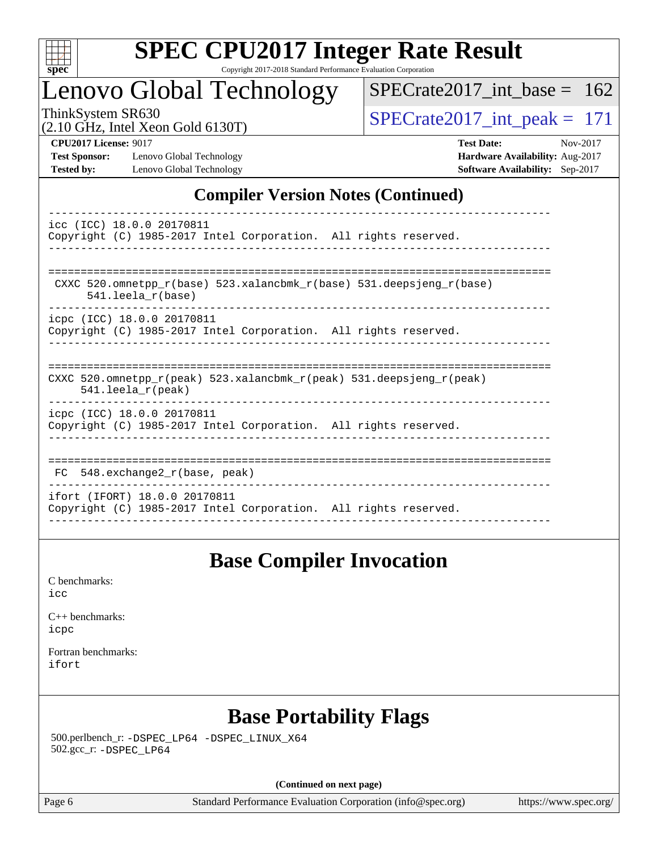

Lenovo Global Technology

ThinkSystem SR630<br>(2.10 GHz, Intel Xeon Gold 6130T)  $\text{SPECrate2017\_int\_peak} = 171$ [SPECrate2017\\_int\\_base =](http://www.spec.org/auto/cpu2017/Docs/result-fields.html#SPECrate2017intbase) 162

(2.10 GHz, Intel Xeon Gold 6130T)

**[Test Sponsor:](http://www.spec.org/auto/cpu2017/Docs/result-fields.html#TestSponsor)** Lenovo Global Technology **[Hardware Availability:](http://www.spec.org/auto/cpu2017/Docs/result-fields.html#HardwareAvailability)** Aug-2017 **[Tested by:](http://www.spec.org/auto/cpu2017/Docs/result-fields.html#Testedby)** Lenovo Global Technology **[Software Availability:](http://www.spec.org/auto/cpu2017/Docs/result-fields.html#SoftwareAvailability)** Sep-2017

**[CPU2017 License:](http://www.spec.org/auto/cpu2017/Docs/result-fields.html#CPU2017License)** 9017 **[Test Date:](http://www.spec.org/auto/cpu2017/Docs/result-fields.html#TestDate)** Nov-2017

### **[Compiler Version Notes \(Continued\)](http://www.spec.org/auto/cpu2017/Docs/result-fields.html#CompilerVersionNotes)**

| icc (ICC) 18.0.0 20170811<br>Copyright (C) 1985-2017 Intel Corporation. All rights reserved.                            |
|-------------------------------------------------------------------------------------------------------------------------|
|                                                                                                                         |
| CXXC 520.omnetpp $r(base)$ 523.xalancbmk $r(base)$ 531.deepsjeng $r(base)$<br>$541.$ leela $r(base)$                    |
| icpc (ICC) 18.0.0 20170811<br>Copyright (C) 1985-2017 Intel Corporation. All rights reserved.                           |
| CXXC 520.omnetpp $r(\text{peak})$ 523.xalancbmk $r(\text{peak})$ 531.deepsjeng $r(\text{peak})$<br>$541.$ leela_r(peak) |
| icpc (ICC) 18.0.0 20170811<br>Copyright (C) 1985-2017 Intel Corporation. All rights reserved.                           |
| FC 548.exchange2 r(base, peak)                                                                                          |
| ifort (IFORT) 18.0.0 20170811<br>Copyright (C) 1985-2017 Intel Corporation. All rights reserved.                        |

### **[Base Compiler Invocation](http://www.spec.org/auto/cpu2017/Docs/result-fields.html#BaseCompilerInvocation)**

[C benchmarks](http://www.spec.org/auto/cpu2017/Docs/result-fields.html#Cbenchmarks): [icc](http://www.spec.org/cpu2017/results/res2017q4/cpu2017-20171128-01190.flags.html#user_CCbase_intel_icc_18.0_66fc1ee009f7361af1fbd72ca7dcefbb700085f36577c54f309893dd4ec40d12360134090235512931783d35fd58c0460139e722d5067c5574d8eaf2b3e37e92)

[C++ benchmarks:](http://www.spec.org/auto/cpu2017/Docs/result-fields.html#CXXbenchmarks) [icpc](http://www.spec.org/cpu2017/results/res2017q4/cpu2017-20171128-01190.flags.html#user_CXXbase_intel_icpc_18.0_c510b6838c7f56d33e37e94d029a35b4a7bccf4766a728ee175e80a419847e808290a9b78be685c44ab727ea267ec2f070ec5dc83b407c0218cded6866a35d07)

[Fortran benchmarks](http://www.spec.org/auto/cpu2017/Docs/result-fields.html#Fortranbenchmarks): [ifort](http://www.spec.org/cpu2017/results/res2017q4/cpu2017-20171128-01190.flags.html#user_FCbase_intel_ifort_18.0_8111460550e3ca792625aed983ce982f94888b8b503583aa7ba2b8303487b4d8a21a13e7191a45c5fd58ff318f48f9492884d4413fa793fd88dd292cad7027ca)

### **[Base Portability Flags](http://www.spec.org/auto/cpu2017/Docs/result-fields.html#BasePortabilityFlags)**

 500.perlbench\_r: [-DSPEC\\_LP64](http://www.spec.org/cpu2017/results/res2017q4/cpu2017-20171128-01190.flags.html#b500.perlbench_r_basePORTABILITY_DSPEC_LP64) [-DSPEC\\_LINUX\\_X64](http://www.spec.org/cpu2017/results/res2017q4/cpu2017-20171128-01190.flags.html#b500.perlbench_r_baseCPORTABILITY_DSPEC_LINUX_X64) 502.gcc\_r: [-DSPEC\\_LP64](http://www.spec.org/cpu2017/results/res2017q4/cpu2017-20171128-01190.flags.html#suite_basePORTABILITY502_gcc_r_DSPEC_LP64)

**(Continued on next page)**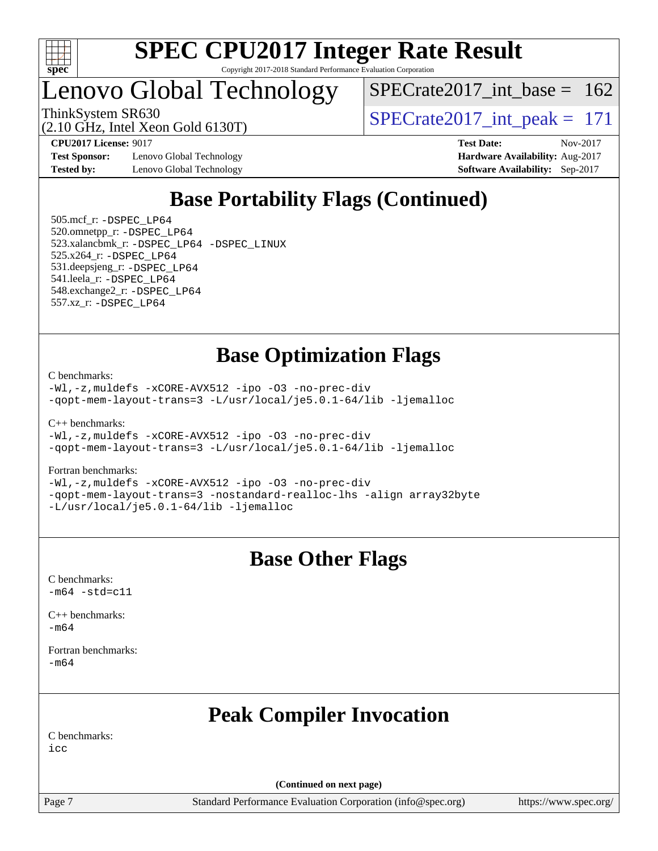

### Lenovo Global Technology

 $SPECrate2017\_int\_base = 162$ 

(2.10 GHz, Intel Xeon Gold 6130T)

ThinkSystem SR630<br>  $(2.10 \text{ GHz})$  Intel Year Gold 6130T)

**[Test Sponsor:](http://www.spec.org/auto/cpu2017/Docs/result-fields.html#TestSponsor)** Lenovo Global Technology **[Hardware Availability:](http://www.spec.org/auto/cpu2017/Docs/result-fields.html#HardwareAvailability)** Aug-2017 **[Tested by:](http://www.spec.org/auto/cpu2017/Docs/result-fields.html#Testedby)** Lenovo Global Technology **[Software Availability:](http://www.spec.org/auto/cpu2017/Docs/result-fields.html#SoftwareAvailability)** Sep-2017

**[CPU2017 License:](http://www.spec.org/auto/cpu2017/Docs/result-fields.html#CPU2017License)** 9017 **[Test Date:](http://www.spec.org/auto/cpu2017/Docs/result-fields.html#TestDate)** Nov-2017

### **[Base Portability Flags \(Continued\)](http://www.spec.org/auto/cpu2017/Docs/result-fields.html#BasePortabilityFlags)**

 505.mcf\_r: [-DSPEC\\_LP64](http://www.spec.org/cpu2017/results/res2017q4/cpu2017-20171128-01190.flags.html#suite_basePORTABILITY505_mcf_r_DSPEC_LP64) 520.omnetpp\_r: [-DSPEC\\_LP64](http://www.spec.org/cpu2017/results/res2017q4/cpu2017-20171128-01190.flags.html#suite_basePORTABILITY520_omnetpp_r_DSPEC_LP64) 523.xalancbmk\_r: [-DSPEC\\_LP64](http://www.spec.org/cpu2017/results/res2017q4/cpu2017-20171128-01190.flags.html#suite_basePORTABILITY523_xalancbmk_r_DSPEC_LP64) [-DSPEC\\_LINUX](http://www.spec.org/cpu2017/results/res2017q4/cpu2017-20171128-01190.flags.html#b523.xalancbmk_r_baseCXXPORTABILITY_DSPEC_LINUX) 525.x264\_r: [-DSPEC\\_LP64](http://www.spec.org/cpu2017/results/res2017q4/cpu2017-20171128-01190.flags.html#suite_basePORTABILITY525_x264_r_DSPEC_LP64) 531.deepsjeng\_r: [-DSPEC\\_LP64](http://www.spec.org/cpu2017/results/res2017q4/cpu2017-20171128-01190.flags.html#suite_basePORTABILITY531_deepsjeng_r_DSPEC_LP64) 541.leela\_r: [-DSPEC\\_LP64](http://www.spec.org/cpu2017/results/res2017q4/cpu2017-20171128-01190.flags.html#suite_basePORTABILITY541_leela_r_DSPEC_LP64) 548.exchange2\_r: [-DSPEC\\_LP64](http://www.spec.org/cpu2017/results/res2017q4/cpu2017-20171128-01190.flags.html#suite_basePORTABILITY548_exchange2_r_DSPEC_LP64) 557.xz\_r: [-DSPEC\\_LP64](http://www.spec.org/cpu2017/results/res2017q4/cpu2017-20171128-01190.flags.html#suite_basePORTABILITY557_xz_r_DSPEC_LP64)

### **[Base Optimization Flags](http://www.spec.org/auto/cpu2017/Docs/result-fields.html#BaseOptimizationFlags)**

[C benchmarks](http://www.spec.org/auto/cpu2017/Docs/result-fields.html#Cbenchmarks):

[-Wl,-z,muldefs](http://www.spec.org/cpu2017/results/res2017q4/cpu2017-20171128-01190.flags.html#user_CCbase_link_force_multiple1_b4cbdb97b34bdee9ceefcfe54f4c8ea74255f0b02a4b23e853cdb0e18eb4525ac79b5a88067c842dd0ee6996c24547a27a4b99331201badda8798ef8a743f577) [-xCORE-AVX512](http://www.spec.org/cpu2017/results/res2017q4/cpu2017-20171128-01190.flags.html#user_CCbase_f-xCORE-AVX512) [-ipo](http://www.spec.org/cpu2017/results/res2017q4/cpu2017-20171128-01190.flags.html#user_CCbase_f-ipo) [-O3](http://www.spec.org/cpu2017/results/res2017q4/cpu2017-20171128-01190.flags.html#user_CCbase_f-O3) [-no-prec-div](http://www.spec.org/cpu2017/results/res2017q4/cpu2017-20171128-01190.flags.html#user_CCbase_f-no-prec-div) [-qopt-mem-layout-trans=3](http://www.spec.org/cpu2017/results/res2017q4/cpu2017-20171128-01190.flags.html#user_CCbase_f-qopt-mem-layout-trans_de80db37974c74b1f0e20d883f0b675c88c3b01e9d123adea9b28688d64333345fb62bc4a798493513fdb68f60282f9a726aa07f478b2f7113531aecce732043) [-L/usr/local/je5.0.1-64/lib](http://www.spec.org/cpu2017/results/res2017q4/cpu2017-20171128-01190.flags.html#user_CCbase_jemalloc_link_path64_4b10a636b7bce113509b17f3bd0d6226c5fb2346b9178c2d0232c14f04ab830f976640479e5c33dc2bcbbdad86ecfb6634cbbd4418746f06f368b512fced5394) [-ljemalloc](http://www.spec.org/cpu2017/results/res2017q4/cpu2017-20171128-01190.flags.html#user_CCbase_jemalloc_link_lib_d1249b907c500fa1c0672f44f562e3d0f79738ae9e3c4a9c376d49f265a04b9c99b167ecedbf6711b3085be911c67ff61f150a17b3472be731631ba4d0471706)

[C++ benchmarks:](http://www.spec.org/auto/cpu2017/Docs/result-fields.html#CXXbenchmarks)

[-Wl,-z,muldefs](http://www.spec.org/cpu2017/results/res2017q4/cpu2017-20171128-01190.flags.html#user_CXXbase_link_force_multiple1_b4cbdb97b34bdee9ceefcfe54f4c8ea74255f0b02a4b23e853cdb0e18eb4525ac79b5a88067c842dd0ee6996c24547a27a4b99331201badda8798ef8a743f577) [-xCORE-AVX512](http://www.spec.org/cpu2017/results/res2017q4/cpu2017-20171128-01190.flags.html#user_CXXbase_f-xCORE-AVX512) [-ipo](http://www.spec.org/cpu2017/results/res2017q4/cpu2017-20171128-01190.flags.html#user_CXXbase_f-ipo) [-O3](http://www.spec.org/cpu2017/results/res2017q4/cpu2017-20171128-01190.flags.html#user_CXXbase_f-O3) [-no-prec-div](http://www.spec.org/cpu2017/results/res2017q4/cpu2017-20171128-01190.flags.html#user_CXXbase_f-no-prec-div) [-qopt-mem-layout-trans=3](http://www.spec.org/cpu2017/results/res2017q4/cpu2017-20171128-01190.flags.html#user_CXXbase_f-qopt-mem-layout-trans_de80db37974c74b1f0e20d883f0b675c88c3b01e9d123adea9b28688d64333345fb62bc4a798493513fdb68f60282f9a726aa07f478b2f7113531aecce732043) [-L/usr/local/je5.0.1-64/lib](http://www.spec.org/cpu2017/results/res2017q4/cpu2017-20171128-01190.flags.html#user_CXXbase_jemalloc_link_path64_4b10a636b7bce113509b17f3bd0d6226c5fb2346b9178c2d0232c14f04ab830f976640479e5c33dc2bcbbdad86ecfb6634cbbd4418746f06f368b512fced5394) [-ljemalloc](http://www.spec.org/cpu2017/results/res2017q4/cpu2017-20171128-01190.flags.html#user_CXXbase_jemalloc_link_lib_d1249b907c500fa1c0672f44f562e3d0f79738ae9e3c4a9c376d49f265a04b9c99b167ecedbf6711b3085be911c67ff61f150a17b3472be731631ba4d0471706)

#### [Fortran benchmarks](http://www.spec.org/auto/cpu2017/Docs/result-fields.html#Fortranbenchmarks):

[-Wl,-z,muldefs](http://www.spec.org/cpu2017/results/res2017q4/cpu2017-20171128-01190.flags.html#user_FCbase_link_force_multiple1_b4cbdb97b34bdee9ceefcfe54f4c8ea74255f0b02a4b23e853cdb0e18eb4525ac79b5a88067c842dd0ee6996c24547a27a4b99331201badda8798ef8a743f577) [-xCORE-AVX512](http://www.spec.org/cpu2017/results/res2017q4/cpu2017-20171128-01190.flags.html#user_FCbase_f-xCORE-AVX512) [-ipo](http://www.spec.org/cpu2017/results/res2017q4/cpu2017-20171128-01190.flags.html#user_FCbase_f-ipo) [-O3](http://www.spec.org/cpu2017/results/res2017q4/cpu2017-20171128-01190.flags.html#user_FCbase_f-O3) [-no-prec-div](http://www.spec.org/cpu2017/results/res2017q4/cpu2017-20171128-01190.flags.html#user_FCbase_f-no-prec-div) [-qopt-mem-layout-trans=3](http://www.spec.org/cpu2017/results/res2017q4/cpu2017-20171128-01190.flags.html#user_FCbase_f-qopt-mem-layout-trans_de80db37974c74b1f0e20d883f0b675c88c3b01e9d123adea9b28688d64333345fb62bc4a798493513fdb68f60282f9a726aa07f478b2f7113531aecce732043) [-nostandard-realloc-lhs](http://www.spec.org/cpu2017/results/res2017q4/cpu2017-20171128-01190.flags.html#user_FCbase_f_2003_std_realloc_82b4557e90729c0f113870c07e44d33d6f5a304b4f63d4c15d2d0f1fab99f5daaed73bdb9275d9ae411527f28b936061aa8b9c8f2d63842963b95c9dd6426b8a) [-align array32byte](http://www.spec.org/cpu2017/results/res2017q4/cpu2017-20171128-01190.flags.html#user_FCbase_align_array32byte_b982fe038af199962ba9a80c053b8342c548c85b40b8e86eb3cc33dee0d7986a4af373ac2d51c3f7cf710a18d62fdce2948f201cd044323541f22fc0fffc51b6) [-L/usr/local/je5.0.1-64/lib](http://www.spec.org/cpu2017/results/res2017q4/cpu2017-20171128-01190.flags.html#user_FCbase_jemalloc_link_path64_4b10a636b7bce113509b17f3bd0d6226c5fb2346b9178c2d0232c14f04ab830f976640479e5c33dc2bcbbdad86ecfb6634cbbd4418746f06f368b512fced5394) [-ljemalloc](http://www.spec.org/cpu2017/results/res2017q4/cpu2017-20171128-01190.flags.html#user_FCbase_jemalloc_link_lib_d1249b907c500fa1c0672f44f562e3d0f79738ae9e3c4a9c376d49f265a04b9c99b167ecedbf6711b3085be911c67ff61f150a17b3472be731631ba4d0471706)

### **[Base Other Flags](http://www.spec.org/auto/cpu2017/Docs/result-fields.html#BaseOtherFlags)**

[C benchmarks](http://www.spec.org/auto/cpu2017/Docs/result-fields.html#Cbenchmarks):  $-m64 - std= c11$  $-m64 - std= c11$ 

[C++ benchmarks:](http://www.spec.org/auto/cpu2017/Docs/result-fields.html#CXXbenchmarks) [-m64](http://www.spec.org/cpu2017/results/res2017q4/cpu2017-20171128-01190.flags.html#user_CXXbase_intel_intel64_18.0_af43caccfc8ded86e7699f2159af6efc7655f51387b94da716254467f3c01020a5059329e2569e4053f409e7c9202a7efc638f7a6d1ffb3f52dea4a3e31d82ab)

[Fortran benchmarks](http://www.spec.org/auto/cpu2017/Docs/result-fields.html#Fortranbenchmarks): [-m64](http://www.spec.org/cpu2017/results/res2017q4/cpu2017-20171128-01190.flags.html#user_FCbase_intel_intel64_18.0_af43caccfc8ded86e7699f2159af6efc7655f51387b94da716254467f3c01020a5059329e2569e4053f409e7c9202a7efc638f7a6d1ffb3f52dea4a3e31d82ab)

### **[Peak Compiler Invocation](http://www.spec.org/auto/cpu2017/Docs/result-fields.html#PeakCompilerInvocation)**

[C benchmarks](http://www.spec.org/auto/cpu2017/Docs/result-fields.html#Cbenchmarks):

[icc](http://www.spec.org/cpu2017/results/res2017q4/cpu2017-20171128-01190.flags.html#user_CCpeak_intel_icc_18.0_66fc1ee009f7361af1fbd72ca7dcefbb700085f36577c54f309893dd4ec40d12360134090235512931783d35fd58c0460139e722d5067c5574d8eaf2b3e37e92)

**(Continued on next page)**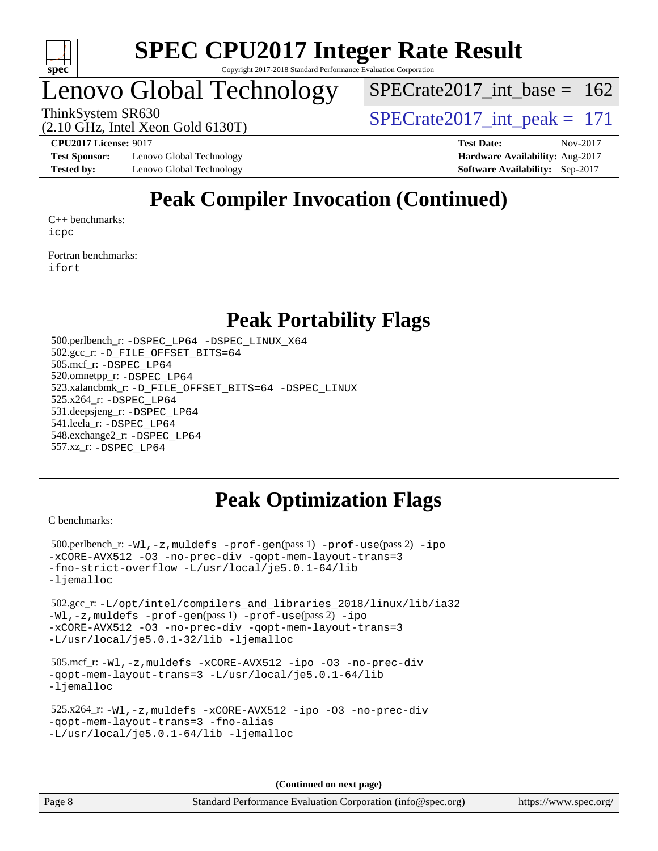

### Lenovo Global Technology

 $SPECrate2017\_int\_base = 162$ 

(2.10 GHz, Intel Xeon Gold 6130T)

ThinkSystem SR630<br>  $\angle Q$  10 GHz, Intel Year Gold 6130T)

**[Test Sponsor:](http://www.spec.org/auto/cpu2017/Docs/result-fields.html#TestSponsor)** Lenovo Global Technology **[Hardware Availability:](http://www.spec.org/auto/cpu2017/Docs/result-fields.html#HardwareAvailability)** Aug-2017 **[Tested by:](http://www.spec.org/auto/cpu2017/Docs/result-fields.html#Testedby)** Lenovo Global Technology **[Software Availability:](http://www.spec.org/auto/cpu2017/Docs/result-fields.html#SoftwareAvailability)** Sep-2017

**[CPU2017 License:](http://www.spec.org/auto/cpu2017/Docs/result-fields.html#CPU2017License)** 9017 **[Test Date:](http://www.spec.org/auto/cpu2017/Docs/result-fields.html#TestDate)** Nov-2017

### **[Peak Compiler Invocation \(Continued\)](http://www.spec.org/auto/cpu2017/Docs/result-fields.html#PeakCompilerInvocation)**

[C++ benchmarks:](http://www.spec.org/auto/cpu2017/Docs/result-fields.html#CXXbenchmarks) [icpc](http://www.spec.org/cpu2017/results/res2017q4/cpu2017-20171128-01190.flags.html#user_CXXpeak_intel_icpc_18.0_c510b6838c7f56d33e37e94d029a35b4a7bccf4766a728ee175e80a419847e808290a9b78be685c44ab727ea267ec2f070ec5dc83b407c0218cded6866a35d07)

[Fortran benchmarks](http://www.spec.org/auto/cpu2017/Docs/result-fields.html#Fortranbenchmarks): [ifort](http://www.spec.org/cpu2017/results/res2017q4/cpu2017-20171128-01190.flags.html#user_FCpeak_intel_ifort_18.0_8111460550e3ca792625aed983ce982f94888b8b503583aa7ba2b8303487b4d8a21a13e7191a45c5fd58ff318f48f9492884d4413fa793fd88dd292cad7027ca)

### **[Peak Portability Flags](http://www.spec.org/auto/cpu2017/Docs/result-fields.html#PeakPortabilityFlags)**

 500.perlbench\_r: [-DSPEC\\_LP64](http://www.spec.org/cpu2017/results/res2017q4/cpu2017-20171128-01190.flags.html#b500.perlbench_r_peakPORTABILITY_DSPEC_LP64) [-DSPEC\\_LINUX\\_X64](http://www.spec.org/cpu2017/results/res2017q4/cpu2017-20171128-01190.flags.html#b500.perlbench_r_peakCPORTABILITY_DSPEC_LINUX_X64) 502.gcc\_r: [-D\\_FILE\\_OFFSET\\_BITS=64](http://www.spec.org/cpu2017/results/res2017q4/cpu2017-20171128-01190.flags.html#user_peakPORTABILITY502_gcc_r_file_offset_bits_64_5ae949a99b284ddf4e95728d47cb0843d81b2eb0e18bdfe74bbf0f61d0b064f4bda2f10ea5eb90e1dcab0e84dbc592acfc5018bc955c18609f94ddb8d550002c) 505.mcf\_r: [-DSPEC\\_LP64](http://www.spec.org/cpu2017/results/res2017q4/cpu2017-20171128-01190.flags.html#suite_peakPORTABILITY505_mcf_r_DSPEC_LP64) 520.omnetpp\_r: [-DSPEC\\_LP64](http://www.spec.org/cpu2017/results/res2017q4/cpu2017-20171128-01190.flags.html#suite_peakPORTABILITY520_omnetpp_r_DSPEC_LP64) 523.xalancbmk\_r: [-D\\_FILE\\_OFFSET\\_BITS=64](http://www.spec.org/cpu2017/results/res2017q4/cpu2017-20171128-01190.flags.html#user_peakPORTABILITY523_xalancbmk_r_file_offset_bits_64_5ae949a99b284ddf4e95728d47cb0843d81b2eb0e18bdfe74bbf0f61d0b064f4bda2f10ea5eb90e1dcab0e84dbc592acfc5018bc955c18609f94ddb8d550002c) [-DSPEC\\_LINUX](http://www.spec.org/cpu2017/results/res2017q4/cpu2017-20171128-01190.flags.html#b523.xalancbmk_r_peakCXXPORTABILITY_DSPEC_LINUX) 525.x264\_r: [-DSPEC\\_LP64](http://www.spec.org/cpu2017/results/res2017q4/cpu2017-20171128-01190.flags.html#suite_peakPORTABILITY525_x264_r_DSPEC_LP64) 531.deepsjeng\_r: [-DSPEC\\_LP64](http://www.spec.org/cpu2017/results/res2017q4/cpu2017-20171128-01190.flags.html#suite_peakPORTABILITY531_deepsjeng_r_DSPEC_LP64) 541.leela\_r: [-DSPEC\\_LP64](http://www.spec.org/cpu2017/results/res2017q4/cpu2017-20171128-01190.flags.html#suite_peakPORTABILITY541_leela_r_DSPEC_LP64) 548.exchange2\_r: [-DSPEC\\_LP64](http://www.spec.org/cpu2017/results/res2017q4/cpu2017-20171128-01190.flags.html#suite_peakPORTABILITY548_exchange2_r_DSPEC_LP64) 557.xz\_r: [-DSPEC\\_LP64](http://www.spec.org/cpu2017/results/res2017q4/cpu2017-20171128-01190.flags.html#suite_peakPORTABILITY557_xz_r_DSPEC_LP64)

### **[Peak Optimization Flags](http://www.spec.org/auto/cpu2017/Docs/result-fields.html#PeakOptimizationFlags)**

[C benchmarks](http://www.spec.org/auto/cpu2017/Docs/result-fields.html#Cbenchmarks):

 500.perlbench\_r: [-Wl,-z,muldefs](http://www.spec.org/cpu2017/results/res2017q4/cpu2017-20171128-01190.flags.html#user_peakEXTRA_LDFLAGS500_perlbench_r_link_force_multiple1_b4cbdb97b34bdee9ceefcfe54f4c8ea74255f0b02a4b23e853cdb0e18eb4525ac79b5a88067c842dd0ee6996c24547a27a4b99331201badda8798ef8a743f577) [-prof-gen](http://www.spec.org/cpu2017/results/res2017q4/cpu2017-20171128-01190.flags.html#user_peakPASS1_CFLAGSPASS1_LDFLAGS500_perlbench_r_prof_gen_5aa4926d6013ddb2a31985c654b3eb18169fc0c6952a63635c234f711e6e63dd76e94ad52365559451ec499a2cdb89e4dc58ba4c67ef54ca681ffbe1461d6b36)(pass 1) [-prof-use](http://www.spec.org/cpu2017/results/res2017q4/cpu2017-20171128-01190.flags.html#user_peakPASS2_CFLAGSPASS2_LDFLAGS500_perlbench_r_prof_use_1a21ceae95f36a2b53c25747139a6c16ca95bd9def2a207b4f0849963b97e94f5260e30a0c64f4bb623698870e679ca08317ef8150905d41bd88c6f78df73f19)(pass 2) [-ipo](http://www.spec.org/cpu2017/results/res2017q4/cpu2017-20171128-01190.flags.html#user_peakPASS1_COPTIMIZEPASS2_COPTIMIZE500_perlbench_r_f-ipo) [-xCORE-AVX512](http://www.spec.org/cpu2017/results/res2017q4/cpu2017-20171128-01190.flags.html#user_peakPASS2_COPTIMIZE500_perlbench_r_f-xCORE-AVX512) [-O3](http://www.spec.org/cpu2017/results/res2017q4/cpu2017-20171128-01190.flags.html#user_peakPASS1_COPTIMIZEPASS2_COPTIMIZE500_perlbench_r_f-O3) [-no-prec-div](http://www.spec.org/cpu2017/results/res2017q4/cpu2017-20171128-01190.flags.html#user_peakPASS1_COPTIMIZEPASS2_COPTIMIZE500_perlbench_r_f-no-prec-div) [-qopt-mem-layout-trans=3](http://www.spec.org/cpu2017/results/res2017q4/cpu2017-20171128-01190.flags.html#user_peakPASS1_COPTIMIZEPASS2_COPTIMIZE500_perlbench_r_f-qopt-mem-layout-trans_de80db37974c74b1f0e20d883f0b675c88c3b01e9d123adea9b28688d64333345fb62bc4a798493513fdb68f60282f9a726aa07f478b2f7113531aecce732043) [-fno-strict-overflow](http://www.spec.org/cpu2017/results/res2017q4/cpu2017-20171128-01190.flags.html#user_peakEXTRA_OPTIMIZE500_perlbench_r_f-fno-strict-overflow) [-L/usr/local/je5.0.1-64/lib](http://www.spec.org/cpu2017/results/res2017q4/cpu2017-20171128-01190.flags.html#user_peakEXTRA_LIBS500_perlbench_r_jemalloc_link_path64_4b10a636b7bce113509b17f3bd0d6226c5fb2346b9178c2d0232c14f04ab830f976640479e5c33dc2bcbbdad86ecfb6634cbbd4418746f06f368b512fced5394) [-ljemalloc](http://www.spec.org/cpu2017/results/res2017q4/cpu2017-20171128-01190.flags.html#user_peakEXTRA_LIBS500_perlbench_r_jemalloc_link_lib_d1249b907c500fa1c0672f44f562e3d0f79738ae9e3c4a9c376d49f265a04b9c99b167ecedbf6711b3085be911c67ff61f150a17b3472be731631ba4d0471706) 502.gcc\_r: [-L/opt/intel/compilers\\_and\\_libraries\\_2018/linux/lib/ia32](http://www.spec.org/cpu2017/results/res2017q4/cpu2017-20171128-01190.flags.html#user_peakCCLD502_gcc_r_Enable-32bit-runtime_af243bdb1d79e4c7a4f720bf8275e627de2ecd461de63307bc14cef0633fde3cd7bb2facb32dcc8be9566045fb55d40ce2b72b725f73827aa7833441b71b9343) [-Wl,-z,muldefs](http://www.spec.org/cpu2017/results/res2017q4/cpu2017-20171128-01190.flags.html#user_peakEXTRA_LDFLAGS502_gcc_r_link_force_multiple1_b4cbdb97b34bdee9ceefcfe54f4c8ea74255f0b02a4b23e853cdb0e18eb4525ac79b5a88067c842dd0ee6996c24547a27a4b99331201badda8798ef8a743f577) [-prof-gen](http://www.spec.org/cpu2017/results/res2017q4/cpu2017-20171128-01190.flags.html#user_peakPASS1_CFLAGSPASS1_LDFLAGS502_gcc_r_prof_gen_5aa4926d6013ddb2a31985c654b3eb18169fc0c6952a63635c234f711e6e63dd76e94ad52365559451ec499a2cdb89e4dc58ba4c67ef54ca681ffbe1461d6b36)(pass 1) [-prof-use](http://www.spec.org/cpu2017/results/res2017q4/cpu2017-20171128-01190.flags.html#user_peakPASS2_CFLAGSPASS2_LDFLAGS502_gcc_r_prof_use_1a21ceae95f36a2b53c25747139a6c16ca95bd9def2a207b4f0849963b97e94f5260e30a0c64f4bb623698870e679ca08317ef8150905d41bd88c6f78df73f19)(pass 2) [-ipo](http://www.spec.org/cpu2017/results/res2017q4/cpu2017-20171128-01190.flags.html#user_peakPASS1_COPTIMIZEPASS2_COPTIMIZE502_gcc_r_f-ipo) [-xCORE-AVX512](http://www.spec.org/cpu2017/results/res2017q4/cpu2017-20171128-01190.flags.html#user_peakPASS2_COPTIMIZE502_gcc_r_f-xCORE-AVX512) [-O3](http://www.spec.org/cpu2017/results/res2017q4/cpu2017-20171128-01190.flags.html#user_peakPASS1_COPTIMIZEPASS2_COPTIMIZE502_gcc_r_f-O3) [-no-prec-div](http://www.spec.org/cpu2017/results/res2017q4/cpu2017-20171128-01190.flags.html#user_peakPASS1_COPTIMIZEPASS2_COPTIMIZE502_gcc_r_f-no-prec-div) [-qopt-mem-layout-trans=3](http://www.spec.org/cpu2017/results/res2017q4/cpu2017-20171128-01190.flags.html#user_peakPASS1_COPTIMIZEPASS2_COPTIMIZE502_gcc_r_f-qopt-mem-layout-trans_de80db37974c74b1f0e20d883f0b675c88c3b01e9d123adea9b28688d64333345fb62bc4a798493513fdb68f60282f9a726aa07f478b2f7113531aecce732043) [-L/usr/local/je5.0.1-32/lib](http://www.spec.org/cpu2017/results/res2017q4/cpu2017-20171128-01190.flags.html#user_peakEXTRA_LIBS502_gcc_r_jemalloc_link_path32_e29f22e8e6c17053bbc6a0971f5a9c01a601a06bb1a59df2084b77a2fe0a2995b64fd4256feaeea39eeba3aae142e96e2b2b0a28974019c0c0c88139a84f900a) [-ljemalloc](http://www.spec.org/cpu2017/results/res2017q4/cpu2017-20171128-01190.flags.html#user_peakEXTRA_LIBS502_gcc_r_jemalloc_link_lib_d1249b907c500fa1c0672f44f562e3d0f79738ae9e3c4a9c376d49f265a04b9c99b167ecedbf6711b3085be911c67ff61f150a17b3472be731631ba4d0471706) 505.mcf\_r: [-Wl,-z,muldefs](http://www.spec.org/cpu2017/results/res2017q4/cpu2017-20171128-01190.flags.html#user_peakEXTRA_LDFLAGS505_mcf_r_link_force_multiple1_b4cbdb97b34bdee9ceefcfe54f4c8ea74255f0b02a4b23e853cdb0e18eb4525ac79b5a88067c842dd0ee6996c24547a27a4b99331201badda8798ef8a743f577) [-xCORE-AVX512](http://www.spec.org/cpu2017/results/res2017q4/cpu2017-20171128-01190.flags.html#user_peakCOPTIMIZE505_mcf_r_f-xCORE-AVX512) [-ipo](http://www.spec.org/cpu2017/results/res2017q4/cpu2017-20171128-01190.flags.html#user_peakCOPTIMIZE505_mcf_r_f-ipo) [-O3](http://www.spec.org/cpu2017/results/res2017q4/cpu2017-20171128-01190.flags.html#user_peakCOPTIMIZE505_mcf_r_f-O3) [-no-prec-div](http://www.spec.org/cpu2017/results/res2017q4/cpu2017-20171128-01190.flags.html#user_peakCOPTIMIZE505_mcf_r_f-no-prec-div) [-qopt-mem-layout-trans=3](http://www.spec.org/cpu2017/results/res2017q4/cpu2017-20171128-01190.flags.html#user_peakCOPTIMIZE505_mcf_r_f-qopt-mem-layout-trans_de80db37974c74b1f0e20d883f0b675c88c3b01e9d123adea9b28688d64333345fb62bc4a798493513fdb68f60282f9a726aa07f478b2f7113531aecce732043) [-L/usr/local/je5.0.1-64/lib](http://www.spec.org/cpu2017/results/res2017q4/cpu2017-20171128-01190.flags.html#user_peakEXTRA_LIBS505_mcf_r_jemalloc_link_path64_4b10a636b7bce113509b17f3bd0d6226c5fb2346b9178c2d0232c14f04ab830f976640479e5c33dc2bcbbdad86ecfb6634cbbd4418746f06f368b512fced5394) [-ljemalloc](http://www.spec.org/cpu2017/results/res2017q4/cpu2017-20171128-01190.flags.html#user_peakEXTRA_LIBS505_mcf_r_jemalloc_link_lib_d1249b907c500fa1c0672f44f562e3d0f79738ae9e3c4a9c376d49f265a04b9c99b167ecedbf6711b3085be911c67ff61f150a17b3472be731631ba4d0471706) 525.x264\_r: [-Wl,-z,muldefs](http://www.spec.org/cpu2017/results/res2017q4/cpu2017-20171128-01190.flags.html#user_peakEXTRA_LDFLAGS525_x264_r_link_force_multiple1_b4cbdb97b34bdee9ceefcfe54f4c8ea74255f0b02a4b23e853cdb0e18eb4525ac79b5a88067c842dd0ee6996c24547a27a4b99331201badda8798ef8a743f577) [-xCORE-AVX512](http://www.spec.org/cpu2017/results/res2017q4/cpu2017-20171128-01190.flags.html#user_peakCOPTIMIZE525_x264_r_f-xCORE-AVX512) [-ipo](http://www.spec.org/cpu2017/results/res2017q4/cpu2017-20171128-01190.flags.html#user_peakCOPTIMIZE525_x264_r_f-ipo) [-O3](http://www.spec.org/cpu2017/results/res2017q4/cpu2017-20171128-01190.flags.html#user_peakCOPTIMIZE525_x264_r_f-O3) [-no-prec-div](http://www.spec.org/cpu2017/results/res2017q4/cpu2017-20171128-01190.flags.html#user_peakCOPTIMIZE525_x264_r_f-no-prec-div) [-qopt-mem-layout-trans=3](http://www.spec.org/cpu2017/results/res2017q4/cpu2017-20171128-01190.flags.html#user_peakCOPTIMIZE525_x264_r_f-qopt-mem-layout-trans_de80db37974c74b1f0e20d883f0b675c88c3b01e9d123adea9b28688d64333345fb62bc4a798493513fdb68f60282f9a726aa07f478b2f7113531aecce732043) [-fno-alias](http://www.spec.org/cpu2017/results/res2017q4/cpu2017-20171128-01190.flags.html#user_peakEXTRA_OPTIMIZE525_x264_r_f-no-alias_77dbac10d91cbfe898fbf4a29d1b29b694089caa623bdd1baccc9957d4edbe8d106c0b357e2748a65b44fc9e83d78098bb898077f3fe92f9faf24f7bd4a07ed7) [-L/usr/local/je5.0.1-64/lib](http://www.spec.org/cpu2017/results/res2017q4/cpu2017-20171128-01190.flags.html#user_peakEXTRA_LIBS525_x264_r_jemalloc_link_path64_4b10a636b7bce113509b17f3bd0d6226c5fb2346b9178c2d0232c14f04ab830f976640479e5c33dc2bcbbdad86ecfb6634cbbd4418746f06f368b512fced5394) [-ljemalloc](http://www.spec.org/cpu2017/results/res2017q4/cpu2017-20171128-01190.flags.html#user_peakEXTRA_LIBS525_x264_r_jemalloc_link_lib_d1249b907c500fa1c0672f44f562e3d0f79738ae9e3c4a9c376d49f265a04b9c99b167ecedbf6711b3085be911c67ff61f150a17b3472be731631ba4d0471706)

**(Continued on next page)**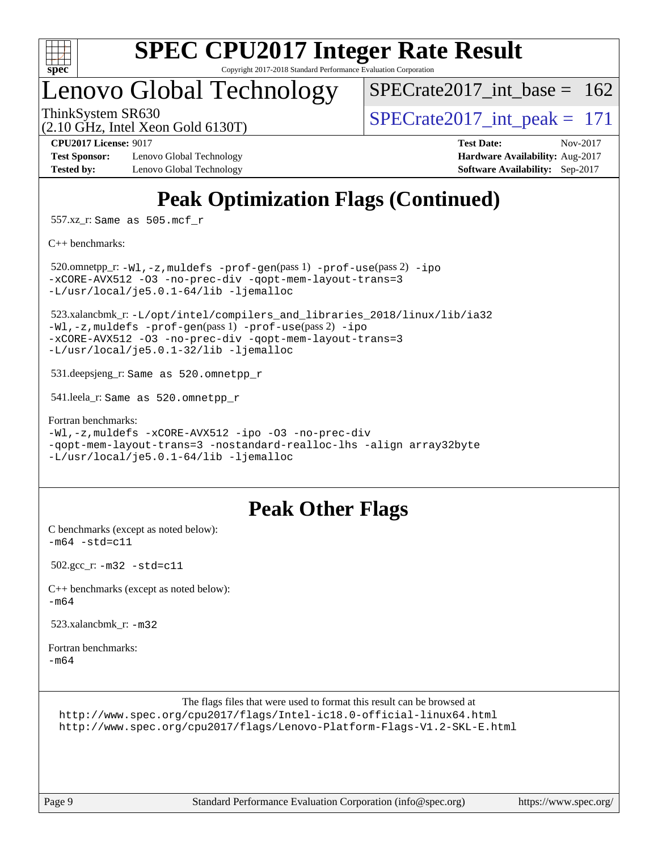

# **[SPEC CPU2017 Integer Rate Result](http://www.spec.org/auto/cpu2017/Docs/result-fields.html#SPECCPU2017IntegerRateResult)**

Copyright 2017-2018 Standard Performance Evaluation Corporation

### Lenovo Global Technology

 $SPECTate2017\_int\_base = 162$ 

(2.10 GHz, Intel Xeon Gold 6130T)

ThinkSystem SR630<br>  $\frac{171}{210 \text{ GHz}}$  Intel Year Gold 6130T)

**[Test Sponsor:](http://www.spec.org/auto/cpu2017/Docs/result-fields.html#TestSponsor)** Lenovo Global Technology **[Hardware Availability:](http://www.spec.org/auto/cpu2017/Docs/result-fields.html#HardwareAvailability)** Aug-2017 **[Tested by:](http://www.spec.org/auto/cpu2017/Docs/result-fields.html#Testedby)** Lenovo Global Technology **[Software Availability:](http://www.spec.org/auto/cpu2017/Docs/result-fields.html#SoftwareAvailability)** Sep-2017

**[CPU2017 License:](http://www.spec.org/auto/cpu2017/Docs/result-fields.html#CPU2017License)** 9017 **[Test Date:](http://www.spec.org/auto/cpu2017/Docs/result-fields.html#TestDate)** Nov-2017

### **[Peak Optimization Flags \(Continued\)](http://www.spec.org/auto/cpu2017/Docs/result-fields.html#PeakOptimizationFlags)**

557.xz\_r: Same as 505.mcf\_r

[C++ benchmarks:](http://www.spec.org/auto/cpu2017/Docs/result-fields.html#CXXbenchmarks)

 520.omnetpp\_r: [-Wl,-z,muldefs](http://www.spec.org/cpu2017/results/res2017q4/cpu2017-20171128-01190.flags.html#user_peakEXTRA_LDFLAGS520_omnetpp_r_link_force_multiple1_b4cbdb97b34bdee9ceefcfe54f4c8ea74255f0b02a4b23e853cdb0e18eb4525ac79b5a88067c842dd0ee6996c24547a27a4b99331201badda8798ef8a743f577) [-prof-gen](http://www.spec.org/cpu2017/results/res2017q4/cpu2017-20171128-01190.flags.html#user_peakPASS1_CXXFLAGSPASS1_LDFLAGS520_omnetpp_r_prof_gen_5aa4926d6013ddb2a31985c654b3eb18169fc0c6952a63635c234f711e6e63dd76e94ad52365559451ec499a2cdb89e4dc58ba4c67ef54ca681ffbe1461d6b36)(pass 1) [-prof-use](http://www.spec.org/cpu2017/results/res2017q4/cpu2017-20171128-01190.flags.html#user_peakPASS2_CXXFLAGSPASS2_LDFLAGS520_omnetpp_r_prof_use_1a21ceae95f36a2b53c25747139a6c16ca95bd9def2a207b4f0849963b97e94f5260e30a0c64f4bb623698870e679ca08317ef8150905d41bd88c6f78df73f19)(pass 2) [-ipo](http://www.spec.org/cpu2017/results/res2017q4/cpu2017-20171128-01190.flags.html#user_peakPASS1_CXXOPTIMIZEPASS2_CXXOPTIMIZE520_omnetpp_r_f-ipo) [-xCORE-AVX512](http://www.spec.org/cpu2017/results/res2017q4/cpu2017-20171128-01190.flags.html#user_peakPASS2_CXXOPTIMIZE520_omnetpp_r_f-xCORE-AVX512) [-O3](http://www.spec.org/cpu2017/results/res2017q4/cpu2017-20171128-01190.flags.html#user_peakPASS1_CXXOPTIMIZEPASS2_CXXOPTIMIZE520_omnetpp_r_f-O3) [-no-prec-div](http://www.spec.org/cpu2017/results/res2017q4/cpu2017-20171128-01190.flags.html#user_peakPASS1_CXXOPTIMIZEPASS2_CXXOPTIMIZE520_omnetpp_r_f-no-prec-div) [-qopt-mem-layout-trans=3](http://www.spec.org/cpu2017/results/res2017q4/cpu2017-20171128-01190.flags.html#user_peakPASS1_CXXOPTIMIZEPASS2_CXXOPTIMIZE520_omnetpp_r_f-qopt-mem-layout-trans_de80db37974c74b1f0e20d883f0b675c88c3b01e9d123adea9b28688d64333345fb62bc4a798493513fdb68f60282f9a726aa07f478b2f7113531aecce732043) [-L/usr/local/je5.0.1-64/lib](http://www.spec.org/cpu2017/results/res2017q4/cpu2017-20171128-01190.flags.html#user_peakEXTRA_LIBS520_omnetpp_r_jemalloc_link_path64_4b10a636b7bce113509b17f3bd0d6226c5fb2346b9178c2d0232c14f04ab830f976640479e5c33dc2bcbbdad86ecfb6634cbbd4418746f06f368b512fced5394) [-ljemalloc](http://www.spec.org/cpu2017/results/res2017q4/cpu2017-20171128-01190.flags.html#user_peakEXTRA_LIBS520_omnetpp_r_jemalloc_link_lib_d1249b907c500fa1c0672f44f562e3d0f79738ae9e3c4a9c376d49f265a04b9c99b167ecedbf6711b3085be911c67ff61f150a17b3472be731631ba4d0471706)

 523.xalancbmk\_r: [-L/opt/intel/compilers\\_and\\_libraries\\_2018/linux/lib/ia32](http://www.spec.org/cpu2017/results/res2017q4/cpu2017-20171128-01190.flags.html#user_peakCXXLD523_xalancbmk_r_Enable-32bit-runtime_af243bdb1d79e4c7a4f720bf8275e627de2ecd461de63307bc14cef0633fde3cd7bb2facb32dcc8be9566045fb55d40ce2b72b725f73827aa7833441b71b9343) [-Wl,-z,muldefs](http://www.spec.org/cpu2017/results/res2017q4/cpu2017-20171128-01190.flags.html#user_peakEXTRA_LDFLAGS523_xalancbmk_r_link_force_multiple1_b4cbdb97b34bdee9ceefcfe54f4c8ea74255f0b02a4b23e853cdb0e18eb4525ac79b5a88067c842dd0ee6996c24547a27a4b99331201badda8798ef8a743f577) [-prof-gen](http://www.spec.org/cpu2017/results/res2017q4/cpu2017-20171128-01190.flags.html#user_peakPASS1_CXXFLAGSPASS1_LDFLAGS523_xalancbmk_r_prof_gen_5aa4926d6013ddb2a31985c654b3eb18169fc0c6952a63635c234f711e6e63dd76e94ad52365559451ec499a2cdb89e4dc58ba4c67ef54ca681ffbe1461d6b36)(pass 1) [-prof-use](http://www.spec.org/cpu2017/results/res2017q4/cpu2017-20171128-01190.flags.html#user_peakPASS2_CXXFLAGSPASS2_LDFLAGS523_xalancbmk_r_prof_use_1a21ceae95f36a2b53c25747139a6c16ca95bd9def2a207b4f0849963b97e94f5260e30a0c64f4bb623698870e679ca08317ef8150905d41bd88c6f78df73f19)(pass 2) [-ipo](http://www.spec.org/cpu2017/results/res2017q4/cpu2017-20171128-01190.flags.html#user_peakPASS1_CXXOPTIMIZEPASS2_CXXOPTIMIZE523_xalancbmk_r_f-ipo) [-xCORE-AVX512](http://www.spec.org/cpu2017/results/res2017q4/cpu2017-20171128-01190.flags.html#user_peakPASS2_CXXOPTIMIZE523_xalancbmk_r_f-xCORE-AVX512) [-O3](http://www.spec.org/cpu2017/results/res2017q4/cpu2017-20171128-01190.flags.html#user_peakPASS1_CXXOPTIMIZEPASS2_CXXOPTIMIZE523_xalancbmk_r_f-O3) [-no-prec-div](http://www.spec.org/cpu2017/results/res2017q4/cpu2017-20171128-01190.flags.html#user_peakPASS1_CXXOPTIMIZEPASS2_CXXOPTIMIZE523_xalancbmk_r_f-no-prec-div) [-qopt-mem-layout-trans=3](http://www.spec.org/cpu2017/results/res2017q4/cpu2017-20171128-01190.flags.html#user_peakPASS1_CXXOPTIMIZEPASS2_CXXOPTIMIZE523_xalancbmk_r_f-qopt-mem-layout-trans_de80db37974c74b1f0e20d883f0b675c88c3b01e9d123adea9b28688d64333345fb62bc4a798493513fdb68f60282f9a726aa07f478b2f7113531aecce732043) [-L/usr/local/je5.0.1-32/lib](http://www.spec.org/cpu2017/results/res2017q4/cpu2017-20171128-01190.flags.html#user_peakEXTRA_LIBS523_xalancbmk_r_jemalloc_link_path32_e29f22e8e6c17053bbc6a0971f5a9c01a601a06bb1a59df2084b77a2fe0a2995b64fd4256feaeea39eeba3aae142e96e2b2b0a28974019c0c0c88139a84f900a) [-ljemalloc](http://www.spec.org/cpu2017/results/res2017q4/cpu2017-20171128-01190.flags.html#user_peakEXTRA_LIBS523_xalancbmk_r_jemalloc_link_lib_d1249b907c500fa1c0672f44f562e3d0f79738ae9e3c4a9c376d49f265a04b9c99b167ecedbf6711b3085be911c67ff61f150a17b3472be731631ba4d0471706)

531.deepsjeng\_r: Same as 520.omnetpp\_r

541.leela\_r: Same as 520.omnetpp\_r

[Fortran benchmarks](http://www.spec.org/auto/cpu2017/Docs/result-fields.html#Fortranbenchmarks): [-Wl,-z,muldefs](http://www.spec.org/cpu2017/results/res2017q4/cpu2017-20171128-01190.flags.html#user_FCpeak_link_force_multiple1_b4cbdb97b34bdee9ceefcfe54f4c8ea74255f0b02a4b23e853cdb0e18eb4525ac79b5a88067c842dd0ee6996c24547a27a4b99331201badda8798ef8a743f577) [-xCORE-AVX512](http://www.spec.org/cpu2017/results/res2017q4/cpu2017-20171128-01190.flags.html#user_FCpeak_f-xCORE-AVX512) [-ipo](http://www.spec.org/cpu2017/results/res2017q4/cpu2017-20171128-01190.flags.html#user_FCpeak_f-ipo) [-O3](http://www.spec.org/cpu2017/results/res2017q4/cpu2017-20171128-01190.flags.html#user_FCpeak_f-O3) [-no-prec-div](http://www.spec.org/cpu2017/results/res2017q4/cpu2017-20171128-01190.flags.html#user_FCpeak_f-no-prec-div) [-qopt-mem-layout-trans=3](http://www.spec.org/cpu2017/results/res2017q4/cpu2017-20171128-01190.flags.html#user_FCpeak_f-qopt-mem-layout-trans_de80db37974c74b1f0e20d883f0b675c88c3b01e9d123adea9b28688d64333345fb62bc4a798493513fdb68f60282f9a726aa07f478b2f7113531aecce732043) [-nostandard-realloc-lhs](http://www.spec.org/cpu2017/results/res2017q4/cpu2017-20171128-01190.flags.html#user_FCpeak_f_2003_std_realloc_82b4557e90729c0f113870c07e44d33d6f5a304b4f63d4c15d2d0f1fab99f5daaed73bdb9275d9ae411527f28b936061aa8b9c8f2d63842963b95c9dd6426b8a) [-align array32byte](http://www.spec.org/cpu2017/results/res2017q4/cpu2017-20171128-01190.flags.html#user_FCpeak_align_array32byte_b982fe038af199962ba9a80c053b8342c548c85b40b8e86eb3cc33dee0d7986a4af373ac2d51c3f7cf710a18d62fdce2948f201cd044323541f22fc0fffc51b6) [-L/usr/local/je5.0.1-64/lib](http://www.spec.org/cpu2017/results/res2017q4/cpu2017-20171128-01190.flags.html#user_FCpeak_jemalloc_link_path64_4b10a636b7bce113509b17f3bd0d6226c5fb2346b9178c2d0232c14f04ab830f976640479e5c33dc2bcbbdad86ecfb6634cbbd4418746f06f368b512fced5394) [-ljemalloc](http://www.spec.org/cpu2017/results/res2017q4/cpu2017-20171128-01190.flags.html#user_FCpeak_jemalloc_link_lib_d1249b907c500fa1c0672f44f562e3d0f79738ae9e3c4a9c376d49f265a04b9c99b167ecedbf6711b3085be911c67ff61f150a17b3472be731631ba4d0471706)

### **[Peak Other Flags](http://www.spec.org/auto/cpu2017/Docs/result-fields.html#PeakOtherFlags)**

[C benchmarks \(except as noted below\)](http://www.spec.org/auto/cpu2017/Docs/result-fields.html#Cbenchmarksexceptasnotedbelow):  $-m64 - std= c11$  $-m64 - std= c11$ 

502.gcc\_r: [-m32](http://www.spec.org/cpu2017/results/res2017q4/cpu2017-20171128-01190.flags.html#user_peakCCLD502_gcc_r_intel_ia32_18.0_2666f1173eb60787016b673bfe1358e27016ef7649ea4884b7bc6187fd89dc221d14632e22638cde1c647a518de97358ab15d4ad098ee4e19a8b28d0c25e14bf) [-std=c11](http://www.spec.org/cpu2017/results/res2017q4/cpu2017-20171128-01190.flags.html#user_peakCCLD502_gcc_r_intel_compiler_c11_mode_0e1c27790398a4642dfca32ffe6c27b5796f9c2d2676156f2e42c9c44eaad0c049b1cdb667a270c34d979996257aeb8fc440bfb01818dbc9357bd9d174cb8524)

[C++ benchmarks \(except as noted below\):](http://www.spec.org/auto/cpu2017/Docs/result-fields.html#CXXbenchmarksexceptasnotedbelow) [-m64](http://www.spec.org/cpu2017/results/res2017q4/cpu2017-20171128-01190.flags.html#user_CXXpeak_intel_intel64_18.0_af43caccfc8ded86e7699f2159af6efc7655f51387b94da716254467f3c01020a5059329e2569e4053f409e7c9202a7efc638f7a6d1ffb3f52dea4a3e31d82ab)

523.xalancbmk $r: -m32$  $r: -m32$ 

[Fortran benchmarks](http://www.spec.org/auto/cpu2017/Docs/result-fields.html#Fortranbenchmarks): [-m64](http://www.spec.org/cpu2017/results/res2017q4/cpu2017-20171128-01190.flags.html#user_FCpeak_intel_intel64_18.0_af43caccfc8ded86e7699f2159af6efc7655f51387b94da716254467f3c01020a5059329e2569e4053f409e7c9202a7efc638f7a6d1ffb3f52dea4a3e31d82ab)

> The flags files that were used to format this result can be browsed at <http://www.spec.org/cpu2017/flags/Intel-ic18.0-official-linux64.html> <http://www.spec.org/cpu2017/flags/Lenovo-Platform-Flags-V1.2-SKL-E.html>